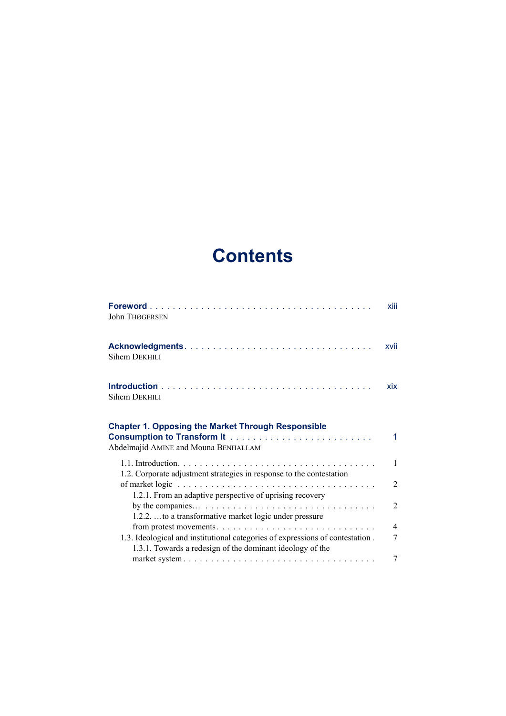## **Contents**

|                                                                                                                                            | xiii           |
|--------------------------------------------------------------------------------------------------------------------------------------------|----------------|
| John THØGERSEN                                                                                                                             |                |
| Sihem DEKHILI                                                                                                                              | xvii           |
| Sihem DEKHILI                                                                                                                              | xix            |
| <b>Chapter 1. Opposing the Market Through Responsible</b><br>Abdelmajid AMINE and Mouna BENHALLAM                                          | 1              |
| 1.2. Corporate adjustment strategies in response to the contestation                                                                       | $\mathbf{1}$   |
| 1.2.1. From an adaptive perspective of uprising recovery                                                                                   | $\overline{2}$ |
| 1.2.2. to a transformative market logic under pressure                                                                                     | $\overline{2}$ |
|                                                                                                                                            | $\overline{4}$ |
| 1.3. Ideological and institutional categories of expressions of contestation.<br>1.3.1. Towards a redesign of the dominant ideology of the | 7              |
|                                                                                                                                            | 7              |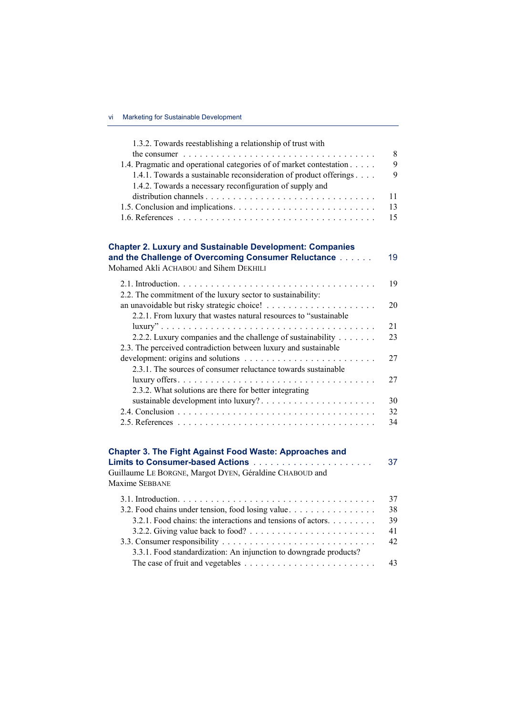| 1.3.2. Towards reestablishing a relationship of trust with                                                                                                                                           |          |
|------------------------------------------------------------------------------------------------------------------------------------------------------------------------------------------------------|----------|
| the consumer $\ldots \ldots \ldots \ldots \ldots \ldots \ldots \ldots \ldots \ldots \ldots$                                                                                                          | $8\,$    |
| 1.4. Pragmatic and operational categories of of market contestation<br>1.4.1. Towards a sustainable reconsideration of product offerings<br>1.4.2. Towards a necessary reconfiguration of supply and | 9<br>9   |
|                                                                                                                                                                                                      | 11       |
|                                                                                                                                                                                                      | 13       |
|                                                                                                                                                                                                      | 15       |
| <b>Chapter 2. Luxury and Sustainable Development: Companies</b>                                                                                                                                      |          |
| and the Challenge of Overcoming Consumer Reluctance<br>Mohamed Akli ACHABOU and Sihem DEKHILI                                                                                                        | 19       |
| 2.2. The commitment of the luxury sector to sustainability:                                                                                                                                          | 19       |
| 2.2.1. From luxury that wastes natural resources to "sustainable                                                                                                                                     | 20       |
| 2.2.2. Luxury companies and the challenge of sustainability<br>2.3. The perceived contradiction between luxury and sustainable                                                                       | 21<br>23 |
| 2.3.1. The sources of consumer reluctance towards sustainable                                                                                                                                        | 27       |
| 2.3.2. What solutions are there for better integrating                                                                                                                                               | 27       |
| sustainable development into luxury?                                                                                                                                                                 | 30       |
|                                                                                                                                                                                                      | 32       |
|                                                                                                                                                                                                      | 34       |
| <b>Chapter 3. The Fight Against Food Waste: Approaches and</b>                                                                                                                                       |          |
|                                                                                                                                                                                                      | 37       |
| Guillaume LE BORGNE, Margot DYEN, Géraldine CHABOUD and<br>Maxime SEBBANE                                                                                                                            |          |
|                                                                                                                                                                                                      | 37       |
| 3.2. Food chains under tension, food losing value.                                                                                                                                                   | 38       |
| 3.2.1. Food chains: the interactions and tensions of actors.                                                                                                                                         | 39       |
| 3.2.2. Giving value back to food? $\ldots \ldots \ldots \ldots \ldots \ldots \ldots$                                                                                                                 | 41       |
|                                                                                                                                                                                                      | 42       |
| 3.3.1. Food standardization: An injunction to downgrade products?                                                                                                                                    |          |
|                                                                                                                                                                                                      | 43       |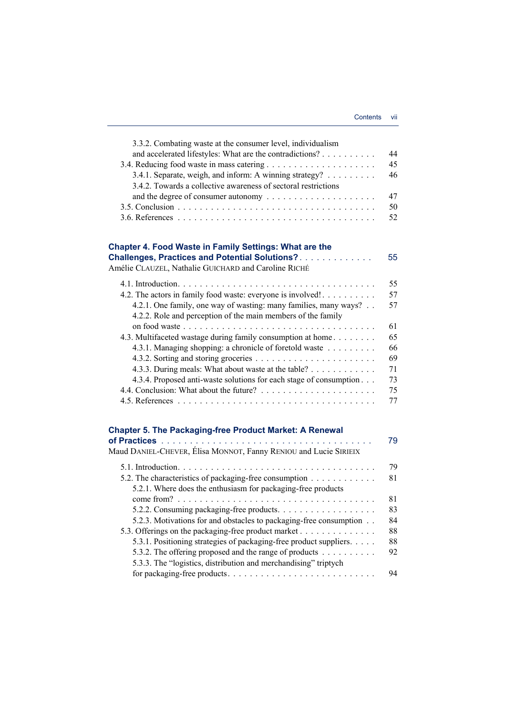| 3.3.2. Combating waste at the consumer level, individualism        |    |
|--------------------------------------------------------------------|----|
| and accelerated lifestyles: What are the contradictions?           | 44 |
|                                                                    | 45 |
| 3.4.1. Separate, weigh, and inform: A winning strategy?            | 46 |
| 3.4.2. Towards a collective awareness of sectoral restrictions     |    |
|                                                                    | 47 |
|                                                                    | 50 |
|                                                                    | 52 |
|                                                                    |    |
| Chapter 4. Food Waste in Family Settings: What are the             |    |
| <b>Challenges, Practices and Potential Solutions?</b>              | 55 |
| Amélie CLAUZEL, Nathalie GUICHARD and Caroline RICHÉ               |    |
|                                                                    | 55 |
| 4.2. The actors in family food waste: everyone is involved!        | 57 |
| 4.2.1. One family, one way of wasting: many families, many ways?   | 57 |
| 4.2.2. Role and perception of the main members of the family       |    |
|                                                                    | 61 |
| 4.3. Multifaceted wastage during family consumption at home        | 65 |
| 4.3.1. Managing shopping: a chronicle of foretold waste            | 66 |
|                                                                    | 69 |
| 4.3.3. During meals: What about waste at the table?                | 71 |
| 4.3.4. Proposed anti-waste solutions for each stage of consumption | 73 |
|                                                                    | 75 |
|                                                                    | 77 |
|                                                                    |    |
| <b>Chapter 5. The Packaging-free Product Market: A Renewal</b>     |    |
|                                                                    | 79 |
| Maud DANIEL-CHEVER, Élisa MONNOT, Fanny RENIOU and Lucie SIRIEIX   |    |
|                                                                    | 79 |
| 5.2. The characteristics of packaging-free consumption             | 81 |
| 5.2.1. Where does the enthusiasm for packaging-free products       |    |
|                                                                    | 81 |
| 5.2.2. Consuming packaging-free products.                          | 83 |
| 5.2.3. Motivations for and obstacles to packaging-free consumption | 84 |
| 5.3. Offerings on the packaging-free product market                | 88 |
| 5.3.1. Positioning strategies of packaging-free product suppliers. | 88 |
| 5.3.2. The offering proposed and the range of products             | 92 |
| 5.3.3. The "logistics, distribution and merchandising" triptych    |    |
|                                                                    | 94 |
|                                                                    |    |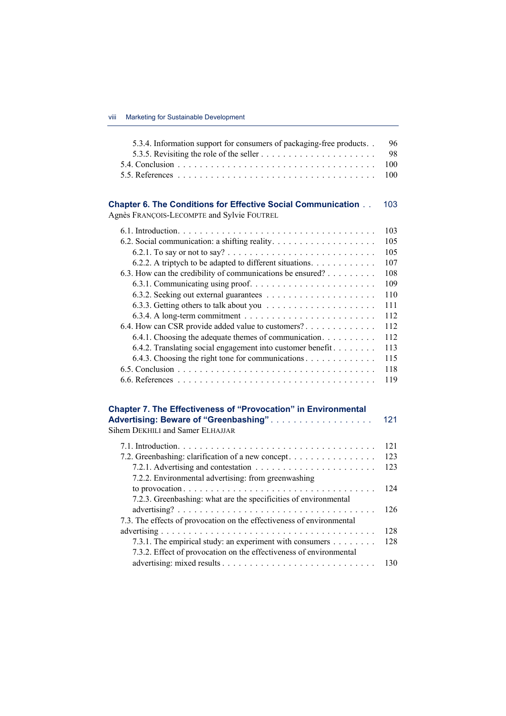| 5.3.4. Information support for consumers of packaging-free products                   | 96  |
|---------------------------------------------------------------------------------------|-----|
|                                                                                       | 98  |
|                                                                                       | 100 |
|                                                                                       | 100 |
|                                                                                       |     |
| <b>Chapter 6. The Conditions for Effective Social Communication </b>                  | 103 |
| Agnès FRANÇOIS-LECOMPTE and Sylvie FOUTREL                                            |     |
|                                                                                       | 103 |
|                                                                                       | 105 |
|                                                                                       | 105 |
| 6.2.2. A triptych to be adapted to different situations.                              | 107 |
| 6.3. How can the credibility of communications be ensured?                            | 108 |
|                                                                                       | 109 |
|                                                                                       | 110 |
|                                                                                       | 111 |
| 6.3.4. A long-term commitment $\dots \dots \dots \dots \dots \dots \dots \dots \dots$ | 112 |
| 6.4. How can CSR provide added value to customers?                                    | 112 |
| 6.4.1. Choosing the adequate themes of communication.                                 | 112 |
| 6.4.2. Translating social engagement into customer benefit.                           | 113 |
| 6.4.3. Choosing the right tone for communications                                     | 115 |
|                                                                                       | 118 |
|                                                                                       | 119 |
|                                                                                       |     |
| <b>Chapter 7. The Effectiveness of "Provocation" in Environmental</b>                 |     |
| Advertising: Beware of "Greenbashing".<br>Sihem DEKHILI and Samer ELHAJJAR            | 121 |
|                                                                                       |     |
|                                                                                       | 121 |
| 7.2. Greenbashing: clarification of a new concept.                                    | 123 |
|                                                                                       | 123 |
| 7.2.2. Environmental advertising: from greenwashing                                   |     |
|                                                                                       | 124 |
| 7.2.3. Greenbashing: what are the specificities of environmental                      |     |
|                                                                                       | 126 |
| 7.3. The effects of provocation on the effectiveness of environmental                 |     |
|                                                                                       | 128 |
| 7.3.1. The empirical study: an experiment with consumers                              | 128 |
| 7.3.2. Effect of provocation on the effectiveness of environmental                    |     |
|                                                                                       | 130 |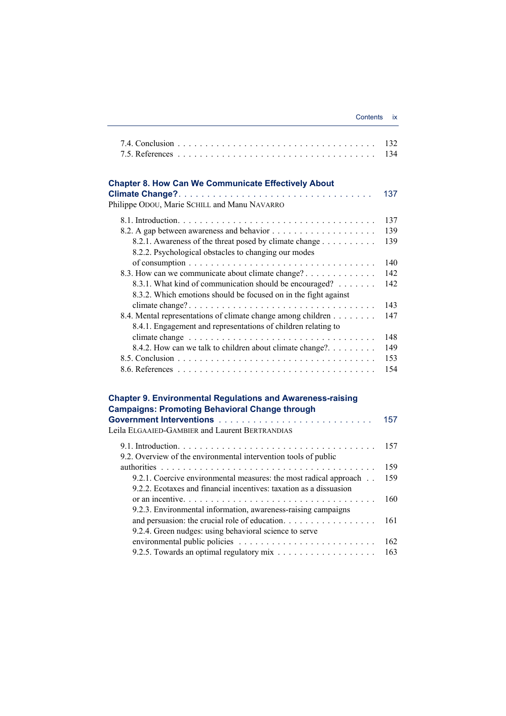|                                                                                                                                                                         | 132<br>134 |
|-------------------------------------------------------------------------------------------------------------------------------------------------------------------------|------------|
| <b>Chapter 8. How Can We Communicate Effectively About</b>                                                                                                              | 137        |
| Philippe ODOU, Marie SCHILL and Manu NAVARRO                                                                                                                            |            |
|                                                                                                                                                                         | 137        |
|                                                                                                                                                                         | 139        |
| 8.2.1. Awareness of the threat posed by climate change<br>8.2.2. Psychological obstacles to changing our modes                                                          | 139        |
|                                                                                                                                                                         | 140        |
| 8.3. How can we communicate about climate change?                                                                                                                       | 142        |
| 8.3.1. What kind of communication should be encouraged?<br>8.3.2. Which emotions should be focused on in the fight against                                              | 142        |
|                                                                                                                                                                         | 143        |
| 8.4. Mental representations of climate change among children<br>8.4.1. Engagement and representations of children relating to                                           | 147        |
|                                                                                                                                                                         | 148        |
| 8.4.2. How can we talk to children about climate change?.                                                                                                               | 149        |
|                                                                                                                                                                         | 153        |
|                                                                                                                                                                         | 154        |
| <b>Chapter 9. Environmental Regulations and Awareness-raising</b>                                                                                                       |            |
| <b>Campaigns: Promoting Behavioral Change through</b>                                                                                                                   | 157        |
| Leila ELGAAIED-GAMBIER and Laurent BERTRANDIAS                                                                                                                          |            |
| 9.2. Overview of the environmental intervention tools of public                                                                                                         | 157        |
|                                                                                                                                                                         | 159        |
| 9.2.1. Coercive environmental measures: the most radical approach<br>9.2.2. Ecotaxes and financial incentives: taxation as a dissuasion                                 | 159        |
| or an incentive. $\dots \dots \dots \dots \dots \dots \dots \dots \dots \dots \dots \dots \dots \dots$<br>9.2.3. Environmental information, awareness-raising campaigns | 160        |
| and persuasion: the crucial role of education.<br>9.2.4. Green nudges: using behavioral science to serve                                                                | 161        |
|                                                                                                                                                                         | 162        |
|                                                                                                                                                                         | 163        |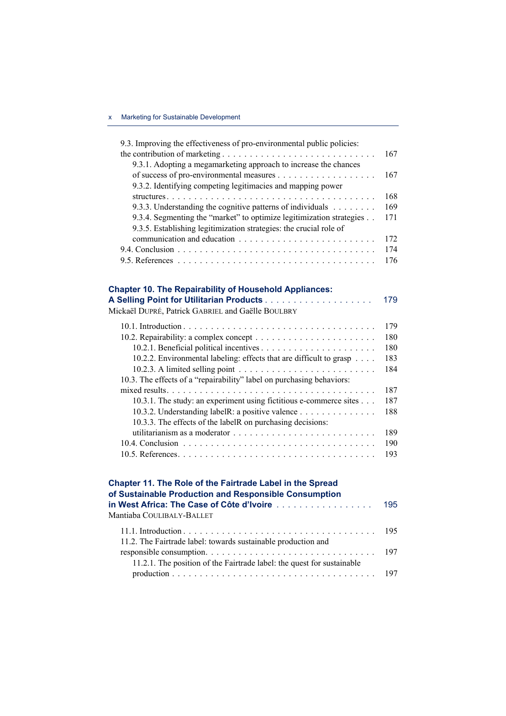| 9.3. Improving the effectiveness of pro-environmental public policies:                                                   |     |
|--------------------------------------------------------------------------------------------------------------------------|-----|
|                                                                                                                          | 167 |
| 9.3.1. Adopting a megamarketing approach to increase the chances                                                         |     |
|                                                                                                                          | 167 |
| 9.3.2. Identifying competing legitimacies and mapping power                                                              |     |
|                                                                                                                          | 168 |
| 9.3.3. Understanding the cognitive patterns of individuals                                                               | 169 |
| 9.3.4. Segmenting the "market" to optimize legitimization strategies                                                     | 171 |
| 9.3.5. Establishing legitimization strategies: the crucial role of                                                       |     |
|                                                                                                                          | 172 |
|                                                                                                                          | 174 |
|                                                                                                                          | 176 |
|                                                                                                                          |     |
|                                                                                                                          |     |
| <b>Chapter 10. The Repairability of Household Appliances:</b>                                                            |     |
|                                                                                                                          | 179 |
| Mickaël DUPRÉ, Patrick GABRIEL and Gaëlle BOULBRY                                                                        |     |
|                                                                                                                          | 179 |
|                                                                                                                          | 180 |
|                                                                                                                          | 180 |
| 10.2.2. Environmental labeling: effects that are difficult to grasp                                                      | 183 |
| $10.2.3$ . A limited selling point $\ldots$ , $\ldots$ , $\ldots$ , $\ldots$ , $\ldots$ , $\ldots$ , $\ldots$ , $\ldots$ | 184 |

| 10.3. The effects of a "repairability" label on purchasing behaviors:                |  |
|--------------------------------------------------------------------------------------|--|
|                                                                                      |  |
| 10.3.1. The study: an experiment using fictitious e-commerce sites 187               |  |
| 10.3.2. Understanding labelR: a positive valence $\dots \dots \dots \dots \dots$ 188 |  |
| 10.3.3. The effects of the labelR on purchasing decisions:                           |  |
|                                                                                      |  |
|                                                                                      |  |
|                                                                                      |  |

| Chapter 11. The Role of the Fairtrade Label in the Spread<br>of Sustainable Production and Responsible Consumption<br>in West Africa: The Case of Côte d'Ivoire 195<br>Mantiaba COULIBALY-BALLET |  |
|--------------------------------------------------------------------------------------------------------------------------------------------------------------------------------------------------|--|
| 11.2. The Fairtrade label: towards sustainable production and                                                                                                                                    |  |
|                                                                                                                                                                                                  |  |
| 11.2.1. The position of the Fairtrade label: the quest for sustainable                                                                                                                           |  |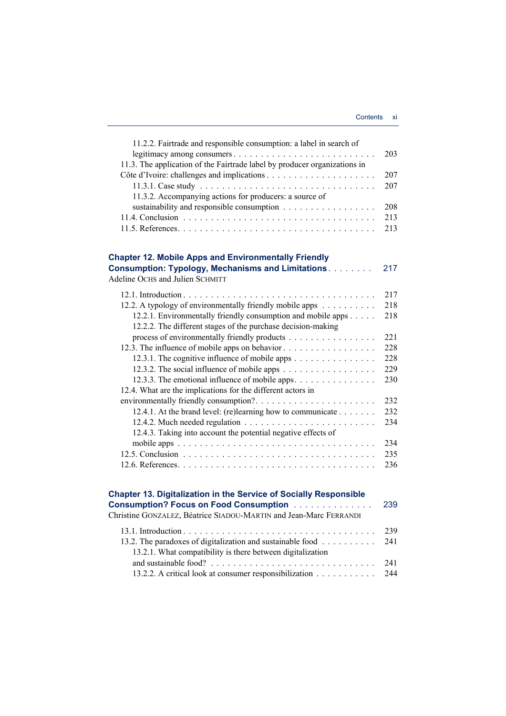| 11.2.2. Fairtrade and responsible consumption: a label in search of       |     |
|---------------------------------------------------------------------------|-----|
| legitimacy among consumers                                                | 203 |
| 11.3. The application of the Fairtrade label by producer organizations in |     |
|                                                                           | 207 |
|                                                                           | 207 |
| 11.3.2. Accompanying actions for producers: a source of                   |     |
|                                                                           | 208 |
|                                                                           | 213 |
|                                                                           | 213 |
|                                                                           |     |
| <b>Chapter 12. Mobile Apps and Environmentally Friendly</b>               |     |
| <b>Consumption: Typology, Mechanisms and Limitations</b>                  | 217 |
| Adeline OCHS and Julien SCHMITT                                           |     |
|                                                                           | 217 |
| 12.2. A typology of environmentally friendly mobile apps                  | 218 |
| 12.2.1. Environmentally friendly consumption and mobile apps              | 218 |
| 12.2.2. The different stages of the purchase decision-making              |     |
| process of environmentally friendly products                              | 221 |
| 12.3. The influence of mobile apps on behavior                            | 228 |
| 12.3.1. The cognitive influence of mobile apps                            | 228 |
| 12.3.2. The social influence of mobile apps                               | 229 |
| 12.3.3. The emotional influence of mobile apps.                           | 230 |
| 12.4. What are the implications for the different actors in               |     |
|                                                                           | 232 |
| 12.4.1. At the brand level: (re)learning how to communicate               | 232 |
|                                                                           | 234 |
| 12.4.3. Taking into account the potential negative effects of             |     |
|                                                                           | 234 |
|                                                                           | 235 |
|                                                                           | 236 |
|                                                                           |     |
| <b>Chapter 13. Digitalization in the Service of Socially Responsible</b>  |     |
| <b>Consumption? Focus on Food Consumption </b>                            | 239 |
| Christine GONZALEZ, Béatrice SIADOU-MARTIN and Jean-Marc FERRANDI         |     |
|                                                                           |     |

| 13.2. The paradoxes of digitalization and sustainable food $\dots \dots \dots$ 241 |  |
|------------------------------------------------------------------------------------|--|
| 13.2.1. What compatibility is there between digitalization                         |  |
|                                                                                    |  |
| 13.2.2. A critical look at consumer responsibilization 244                         |  |